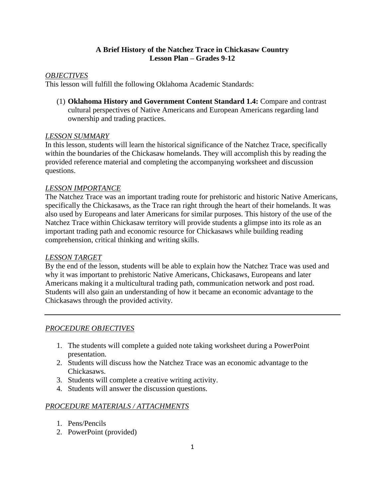## **A Brief History of the Natchez Trace in Chickasaw Country Lesson Plan – Grades 9-12**

# *OBJECTIVES*

This lesson will fulfill the following Oklahoma Academic Standards:

(1) **Oklahoma History and Government Content Standard 1.4:** Compare and contrast cultural perspectives of Native Americans and European Americans regarding land ownership and trading practices.

### *LESSON SUMMARY*

In this lesson, students will learn the historical significance of the Natchez Trace, specifically within the boundaries of the Chickasaw homelands. They will accomplish this by reading the provided reference material and completing the accompanying worksheet and discussion questions.

### *LESSON IMPORTANCE*

The Natchez Trace was an important trading route for prehistoric and historic Native Americans, specifically the Chickasaws, as the Trace ran right through the heart of their homelands. It was also used by Europeans and later Americans for similar purposes. This history of the use of the Natchez Trace within Chickasaw territory will provide students a glimpse into its role as an important trading path and economic resource for Chickasaws while building reading comprehension, critical thinking and writing skills.

### *LESSON TARGET*

By the end of the lesson, students will be able to explain how the Natchez Trace was used and why it was important to prehistoric Native Americans, Chickasaws, Europeans and later Americans making it a multicultural trading path, communication network and post road. Students will also gain an understanding of how it became an economic advantage to the Chickasaws through the provided activity.

### *PROCEDURE OBJECTIVES*

- 1. The students will complete a guided note taking worksheet during a PowerPoint presentation.
- 2. Students will discuss how the Natchez Trace was an economic advantage to the Chickasaws.
- 3. Students will complete a creative writing activity.
- 4. Students will answer the discussion questions.

### *PROCEDURE MATERIALS / ATTACHMENTS*

- 1. Pens/Pencils
- 2. PowerPoint (provided)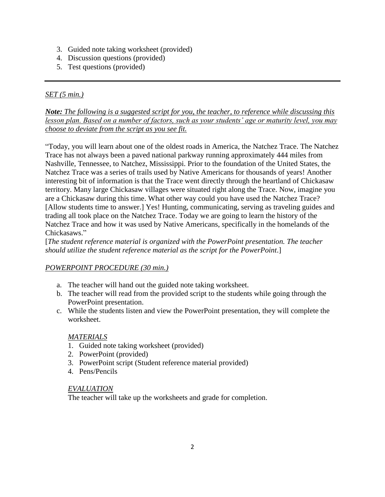- 3. Guided note taking worksheet (provided)
- 4. Discussion questions (provided)
- 5. Test questions (provided)

# *SET (5 min.)*

*Note: The following is a suggested script for you, the teacher, to reference while discussing this lesson plan. Based on a number of factors, such as your students' age or maturity level, you may choose to deviate from the script as you see fit.*

"Today, you will learn about one of the oldest roads in America, the Natchez Trace. The Natchez Trace has not always been a paved national parkway running approximately 444 miles from Nashville, Tennessee, to Natchez, Mississippi. Prior to the foundation of the United States, the Natchez Trace was a series of trails used by Native Americans for thousands of years! Another interesting bit of information is that the Trace went directly through the heartland of Chickasaw territory. Many large Chickasaw villages were situated right along the Trace. Now, imagine you are a Chickasaw during this time. What other way could you have used the Natchez Trace? [Allow students time to answer.] Yes! Hunting, communicating, serving as traveling guides and trading all took place on the Natchez Trace. Today we are going to learn the history of the Natchez Trace and how it was used by Native Americans, specifically in the homelands of the Chickasaws."

[*The student reference material is organized with the PowerPoint presentation. The teacher should utilize the student reference material as the script for the PowerPoint*.]

# *POWERPOINT PROCEDURE (30 min.)*

- a. The teacher will hand out the guided note taking worksheet.
- b. The teacher will read from the provided script to the students while going through the PowerPoint presentation.
- c. While the students listen and view the PowerPoint presentation, they will complete the worksheet.

### *MATERIALS*

- 1. Guided note taking worksheet (provided)
- 2. PowerPoint (provided)
- 3. PowerPoint script (Student reference material provided)
- 4. Pens/Pencils

### *EVALUATION*

The teacher will take up the worksheets and grade for completion.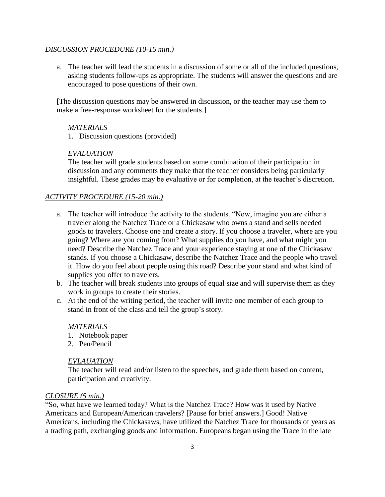#### *DISCUSSION PROCEDURE (10-15 min.)*

a. The teacher will lead the students in a discussion of some or all of the included questions, asking students follow-ups as appropriate. The students will answer the questions and are encouraged to pose questions of their own.

[The discussion questions may be answered in discussion, or the teacher may use them to make a free-response worksheet for the students.]

#### *MATERIALS*

1. Discussion questions (provided)

#### *EVALUATION*

The teacher will grade students based on some combination of their participation in discussion and any comments they make that the teacher considers being particularly insightful. These grades may be evaluative or for completion, at the teacher's discretion.

#### *ACTIVITY PROCEDURE (15-20 min.)*

- a. The teacher will introduce the activity to the students. "Now, imagine you are either a traveler along the Natchez Trace or a Chickasaw who owns a stand and sells needed goods to travelers. Choose one and create a story. If you choose a traveler, where are you going? Where are you coming from? What supplies do you have, and what might you need? Describe the Natchez Trace and your experience staying at one of the Chickasaw stands. If you choose a Chickasaw, describe the Natchez Trace and the people who travel it. How do you feel about people using this road? Describe your stand and what kind of supplies you offer to travelers.
- b. The teacher will break students into groups of equal size and will supervise them as they work in groups to create their stories.
- c. At the end of the writing period, the teacher will invite one member of each group to stand in front of the class and tell the group's story.

#### *MATERIALS*

- 1. Notebook paper
- 2. Pen/Pencil

#### *EVLAUATION*

The teacher will read and/or listen to the speeches, and grade them based on content, participation and creativity.

#### *CLOSURE (5 min.)*

"So, what have we learned today? What is the Natchez Trace? How was it used by Native Americans and European/American travelers? [Pause for brief answers.] Good! Native Americans, including the Chickasaws, have utilized the Natchez Trace for thousands of years as a trading path, exchanging goods and information. Europeans began using the Trace in the late